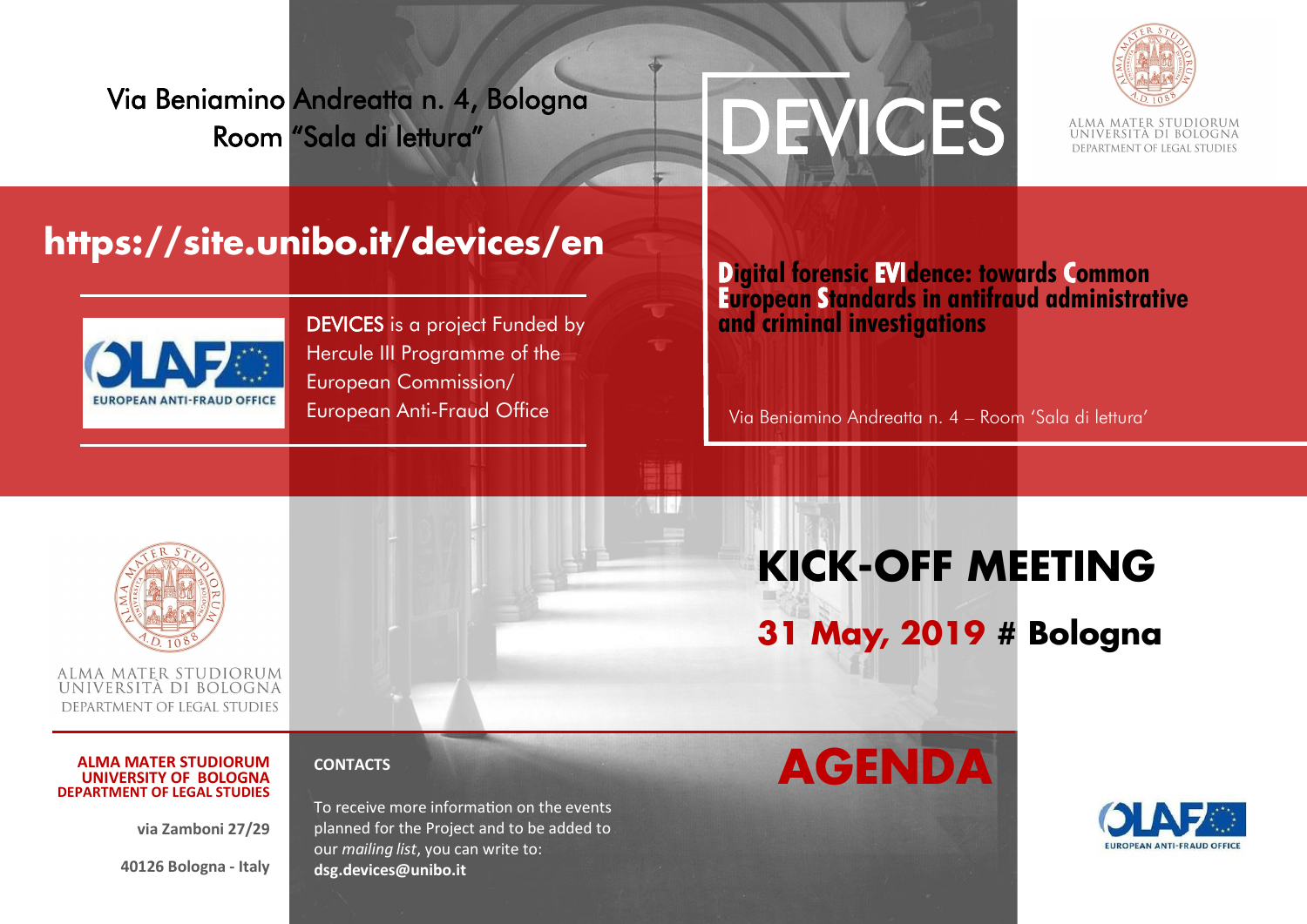Via Beniamino Andreatta n. 4, Bologna Room "Sala di lettura"





## **https://site.unibo.it/devices/en**



DEVICES is a project Funded by Hercule III Programme of the European Commission/ European Anti-Fraud Office

## **Digital forensic EVIdence: towards Common European Standards in antifraud administrative and criminal investigations**

Via Beniamino Andreatta n. 4 – Room 'Sala di lettura'



ALMA MATER STUDIORUM UNIVERSITA DI BOLOGNA DEPARTMENT OF LEGAL STUDIES

#### **ALMA MATER STUDIORUM UNIVERSITY OF BOLOGNA DEPARTMENT OF LEGAL STUDIES**

**via Zamboni 27/29** 

**40126 Bologna - Italy** 



# **KICK-OFF MEETING**

**31 May, 2019 # Bologna**

## **CONTACTS**

To receive more information on the events planned for the Project and to be added to our *mailing list*, you can write to: **dsg.devices@unibo.it** 

## **AGENDA**